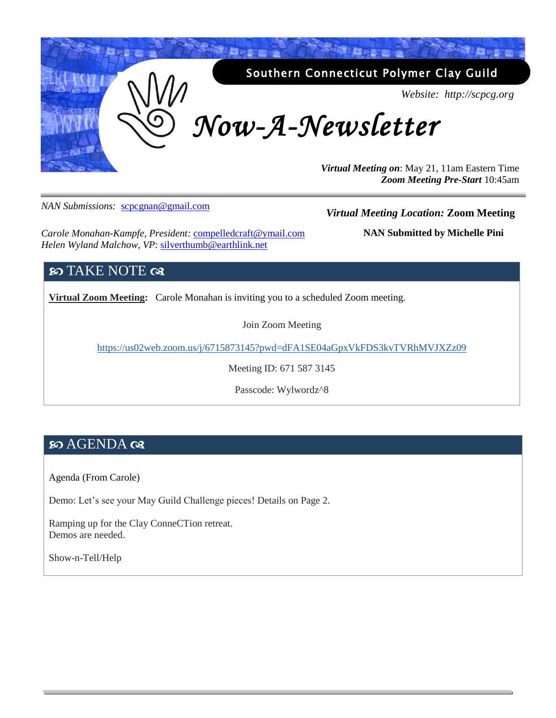

*NAN Submissions:* [scpcgnan@gmail.com](mailto:scpcgnan@gmail.com)

#### *Virtual Meeting Location:* **Zoom Meeting**

*Carole Monahan-Kampfe, President:* [compelledcraft@ymail.com](mailto:compelledcraft@ymail.com) *Helen Wyland Malchow, VP*: silverthumb@earthlink.net

**NAN Submitted by Michelle Pini**

#### **SO TAKE NOTE**  $\infty$

**Virtual Zoom Meeting:** Carole Monahan is inviting you to a scheduled Zoom meeting.

Join Zoom Meeting

<https://us02web.zoom.us/j/6715873145?pwd=dFA1SE04aGpxVkFDS3kvTVRhMVJXZz09>

Meeting ID: 671 587 3145

Passcode: Wylwordz^8

#### **80 AGENDA QR**

Agenda (From Carole)

Demo: Let's see your May Guild Challenge pieces! Details on Page 2.

Ramping up for the Clay ConneCTion retreat. Demos are needed.

Show-n-Tell/Help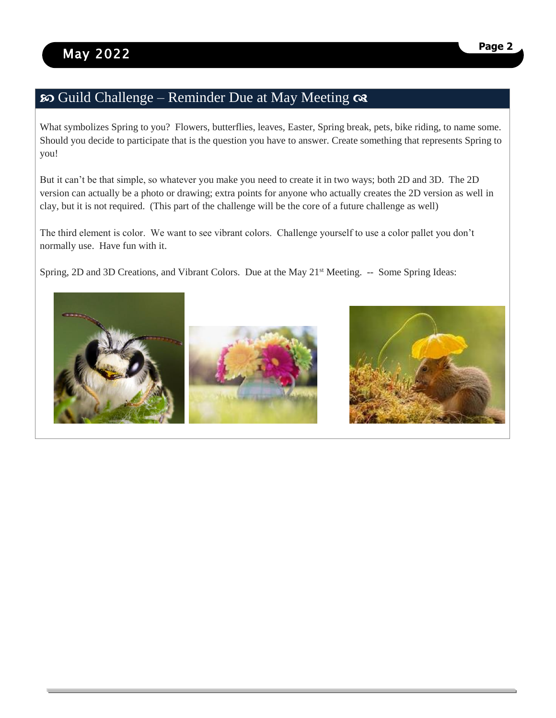## so Guild Challenge – Reminder Due at May Meeting  $\infty$

What symbolizes Spring to you? Flowers, butterflies, leaves, Easter, Spring break, pets, bike riding, to name some. Should you decide to participate that is the question you have to answer. Create something that represents Spring to you!

But it can't be that simple, so whatever you make you need to create it in two ways; both 2D and 3D. The 2D version can actually be a photo or drawing; extra points for anyone who actually creates the 2D version as well in clay, but it is not required. (This part of the challenge will be the core of a future challenge as well)

The third element is color. We want to see vibrant colors. Challenge yourself to use a color pallet you don't normally use. Have fun with it.

Spring, 2D and 3D Creations, and Vibrant Colors. Due at the May 21<sup>st</sup> Meeting. -- Some Spring Ideas:



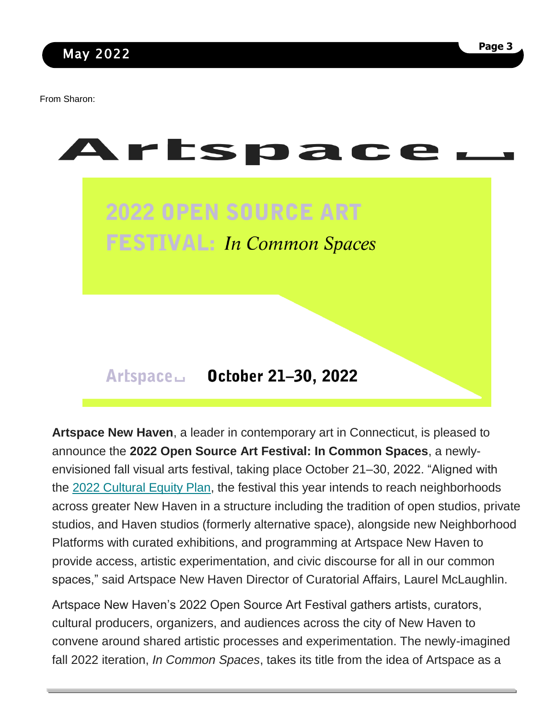From Sharon:



**Artspace New Haven**, a leader in contemporary art in Connecticut, is pleased to announce the **2022 Open Source Art Festival: In Common Spaces**, a newlyenvisioned fall visual arts festival, taking place October 21–30, 2022. "Aligned with the [2022 Cultural Equity Plan,](https://drive.google.com/file/d/1rpuX5issVtSdgunuwGJksj9X9BFNFDcA/view) the festival this year intends to reach neighborhoods across greater New Haven in a structure including the tradition of open studios, private studios, and Haven studios (formerly alternative space), alongside new Neighborhood Platforms with curated exhibitions, and programming at Artspace New Haven to provide access, artistic experimentation, and civic discourse for all in our common spaces," said Artspace New Haven Director of Curatorial Affairs, Laurel McLaughlin.

Artspace New Haven's 2022 Open Source Art Festival gathers artists, curators, cultural producers, organizers, and audiences across the city of New Haven to convene around shared artistic processes and experimentation. The newly-imagined fall 2022 iteration, *In Common Spaces*, takes its title from the idea of Artspace as a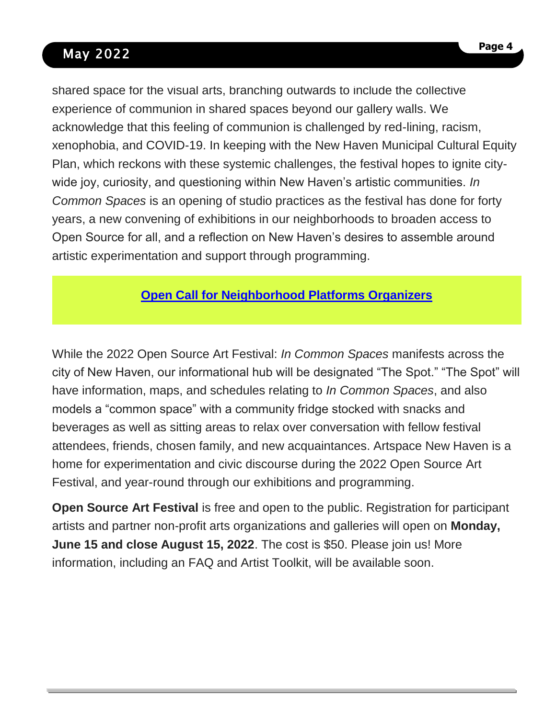# May 2022

shared space for the visual arts, branching outwards to include the collective experience of communion in shared spaces beyond our gallery walls. We acknowledge that this feeling of communion is challenged by red-lining, racism, xenophobia, and COVID-19. In keeping with the New Haven Municipal Cultural Equity Plan, which reckons with these systemic challenges, the festival hopes to ignite citywide joy, curiosity, and questioning within New Haven's artistic communities. *In Common Spaces* is an opening of studio practices as the festival has done for forty years, a new convening of exhibitions in our neighborhoods to broaden access to Open Source for all, and a reflection on New Haven's desires to assemble around artistic experimentation and support through programming.

## **[Open Call for Neighborhood Platforms Organizers](https://artspacenewhaven.org/opportunities/curator-organizer-collectives/)**

While the 2022 Open Source Art Festival: *In Common Spaces* manifests across the city of New Haven, our informational hub will be designated "The Spot." "The Spot" will have information, maps, and schedules relating to *In Common Spaces*, and also models a "common space" with a community fridge stocked with snacks and beverages as well as sitting areas to relax over conversation with fellow festival attendees, friends, chosen family, and new acquaintances. Artspace New Haven is a home for experimentation and civic discourse during the 2022 Open Source Art Festival, and year-round through our exhibitions and programming.

**Open Source Art Festival** is free and open to the public. Registration for participant artists and partner non-profit arts organizations and galleries will open on **Monday, June 15 and close August 15, 2022**. The cost is \$50. Please join us! More information, including an FAQ and Artist Toolkit, will be available soon.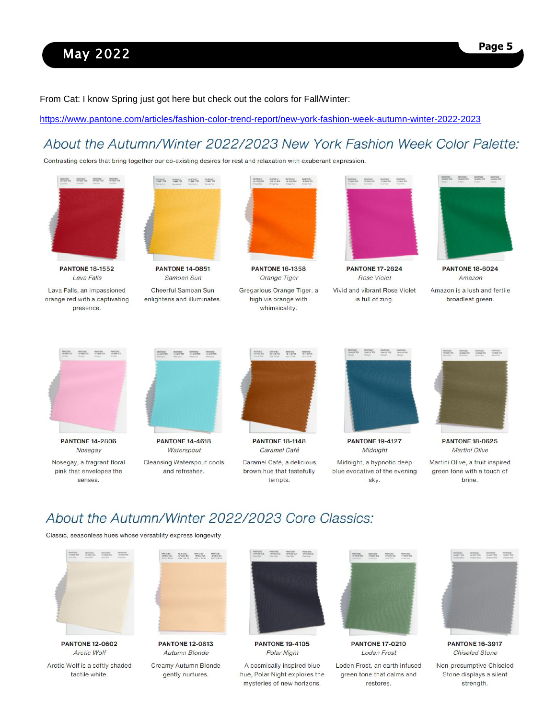# May 2022

From Cat: I know Spring just got here but check out the colors for Fall/Winter:

<https://www.pantone.com/articles/fashion-color-trend-report/new-york-fashion-week-autumn-winter-2022-2023>

### About the Autumn/Winter 2022/2023 New York Fashion Week Color Palette:

Contrasting colors that bring together our co-existing desires for rest and relaxation with exuberant expression.



#### About the Autumn/Winter 2022/2023 Core Classics:

Classic, seasonless hues whose versatility express longevity





**PANTONE 12-0602 Arctic Wolf** Arctic Wolf is a softly shaded tactile white.

**PANTONE 12-0813 Autumn Blonde** 

Creamy Autumn Blonde gently nurtures.



**PANTONE 19-4105** Polar Night

A cosmically inspired blue hue, Polar Night explores the mysteries of new horizons.



**PANTONE 17-0210 Loden Frost** 

Loden Frost, an earth infused green tone that calms and restores.



**PANTONE 16-3917 Chiseled Stone**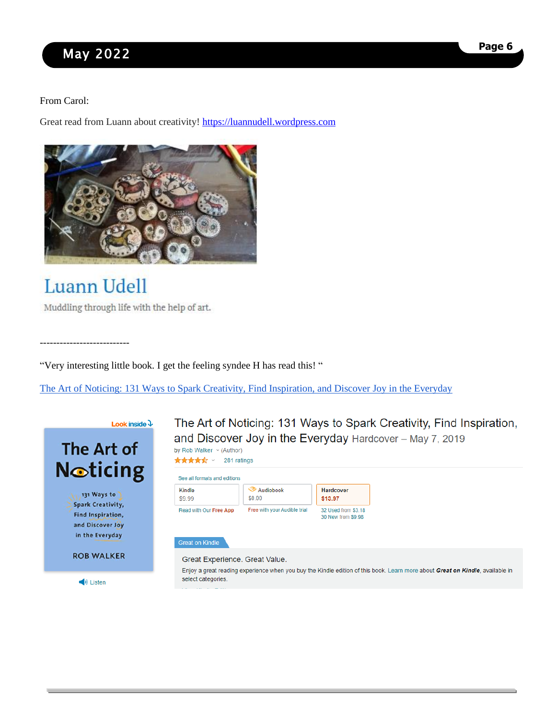# May 2022

#### From Carol:

Great read from Luann about creativity! [https://luannudell.wordpress.com](https://luannudell.wordpress.com/)



# **Luann Udell**

---------------------------

Muddling through life with the help of art.

"Very interesting little book. I get the feeling syndee H has read this! "

[The Art of Noticing: 131 Ways to Spark Creativity, Find Inspiration, and Discover Joy in the Everyday](https://www.amazon.com/Art-Noticing-Creativity-Inspiration-Discover/dp/0525521240/ref=asc_df_0525521240/?tag=hyprod-20&linkCode=df0&hvadid=343221129552&hvpos=&hvnetw=g&hvrand=9066765056167781712&hvpone=&hvptwo=&hvqmt=&hvdev=c&hvdvcmdl=&hvlocint=&hvlocphy=9003454&hvtargid=pla-738560020030&psc=1&tag=&ref=&adgrpid=67797266103&hvpone=&hvptwo=&hvadid=343221129552&hvpos=&hvnetw=g&hvrand=9066765056167781712&hvqmt=&hvdev=c&hvdvcmdl=&hvlocint=&hvlocphy=9003454&hvtargid=pla-738560020030)